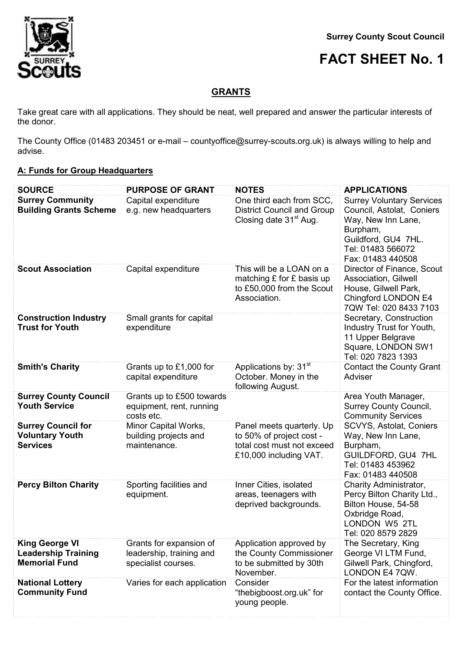

## **FACT SHEET No. 1**

## **GRANTS**

Take great care with all applications. They should be neat, well prepared and answer the particular interests of the donor.

The County Office (01483 203451 or e-mail – countyoffice@surrey-scouts.org.uk) is always willing to help and advise.

## **A: Funds for Group Headquarters**

| <b>SOURCE</b><br><b>Surrey Community</b><br><b>Building Grants Scheme</b>   | <b>PURPOSE OF GRANT</b><br>Capital expenditure<br>e.g. new headquarters    | <b>NOTES</b><br>One third each from SCC,<br><b>District Council and Group</b><br>Closing date 31 <sup>st</sup> Aug. | <b>APPLICATIONS</b><br><b>Surrey Voluntary Services</b><br>Council, Astolat, Coniers<br>Way, New Inn Lane,<br>Burpham,<br>Guildford, GU4 7HL.<br>Tel: 01483 566072<br>Fax: 01483 440508 |
|-----------------------------------------------------------------------------|----------------------------------------------------------------------------|---------------------------------------------------------------------------------------------------------------------|-----------------------------------------------------------------------------------------------------------------------------------------------------------------------------------------|
| <b>Scout Association</b>                                                    | Capital expenditure                                                        | This will be a LOAN on a<br>matching £ for £ basis up<br>to £50,000 from the Scout<br>Association.                  | Director of Finance, Scout<br>Association, Gilwell<br>House, Gilwell Park,<br>Chingford LONDON E4<br>7QW Tel: 020 8433 7103                                                             |
| <b>Construction Industry</b><br><b>Trust for Youth</b>                      | Small grants for capital<br>expenditure                                    |                                                                                                                     | Secretary, Construction<br>Industry Trust for Youth,<br>11 Upper Belgrave<br>Square, LONDON SW1<br>Tel: 020 7823 1393                                                                   |
| <b>Smith's Charity</b>                                                      | Grants up to £1,000 for<br>capital expenditure                             | Applications by: 31 <sup>st</sup><br>October. Money in the<br>following August.                                     | <b>Contact the County Grant</b><br>Adviser                                                                                                                                              |
| <b>Surrey County Council</b><br><b>Youth Service</b>                        | Grants up to £500 towards<br>equipment, rent, running<br>costs etc.        |                                                                                                                     | Area Youth Manager,<br><b>Surrey County Council,</b><br><b>Community Services</b>                                                                                                       |
| <b>Surrey Council for</b><br><b>Voluntary Youth</b><br><b>Services</b>      | Minor Capital Works,<br>building projects and<br>maintenance.              | Panel meets quarterly. Up<br>to 50% of project cost -<br>total cost must not exceed<br>£10,000 including VAT.       | SCVYS, Astolat, Coniers<br>Way, New Inn Lane,<br>Burpham,<br>GUILDFORD, GU4 7HL<br>Tel: 01483 453962<br>Fax: 01483 440508                                                               |
| <b>Percy Bilton Charity</b>                                                 | Sporting facilities and<br>equipment.                                      | Inner Cities, isolated<br>areas, teenagers with<br>deprived backgrounds.                                            | Charity Administrator,<br>Percy Bilton Charity Ltd.,<br>Bilton House, 54-58<br>Oxbridge Road,<br>LONDON W5 2TL<br>Tel: 020 8579 2829                                                    |
| <b>King George VI</b><br><b>Leadership Training</b><br><b>Memorial Fund</b> | Grants for expansion of<br>leadership, training and<br>specialist courses. | Application approved by<br>the County Commissioner<br>to be submitted by 30th<br>November.                          | The Secretary, King<br>George VI LTM Fund,<br>Gilwell Park, Chingford,<br>LONDON E4 7QW.                                                                                                |
| <b>National Lottery</b><br><b>Community Fund</b>                            | Varies for each application                                                | Consider<br>"thebigboost.org.uk" for<br>young people.                                                               | For the latest information<br>contact the County Office.                                                                                                                                |